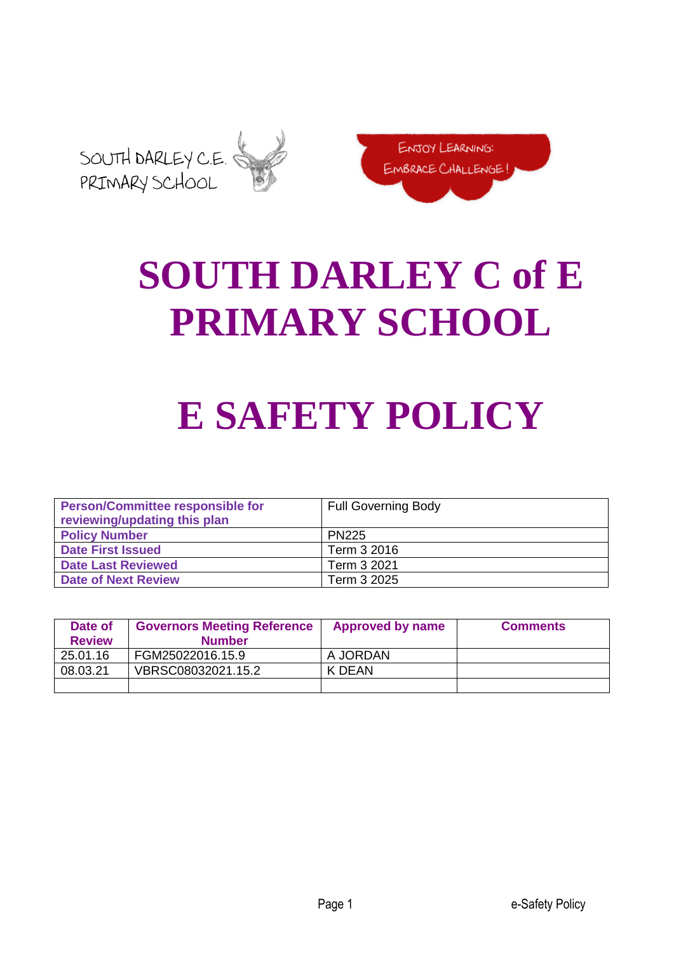



# **SOUTH DARLEY C of E PRIMARY SCHOOL**

# **E SAFETY POLICY**

| <b>Person/Committee responsible for</b><br>reviewing/updating this plan | <b>Full Governing Body</b> |
|-------------------------------------------------------------------------|----------------------------|
| <b>Policy Number</b>                                                    | <b>PN225</b>               |
| <b>Date First Issued</b>                                                | Term 3 2016                |
| <b>Date Last Reviewed</b>                                               | Term 3 2021                |
| <b>Date of Next Review</b>                                              | Term 3 2025                |

| Date of<br><b>Review</b> | <b>Governors Meeting Reference</b><br><b>Number</b> | <b>Approved by name</b> | <b>Comments</b> |
|--------------------------|-----------------------------------------------------|-------------------------|-----------------|
| 25.01.16                 | FGM25022016.15.9                                    | A JORDAN                |                 |
| 08.03.21                 | VBRSC08032021.15.2                                  | K DEAN                  |                 |
|                          |                                                     |                         |                 |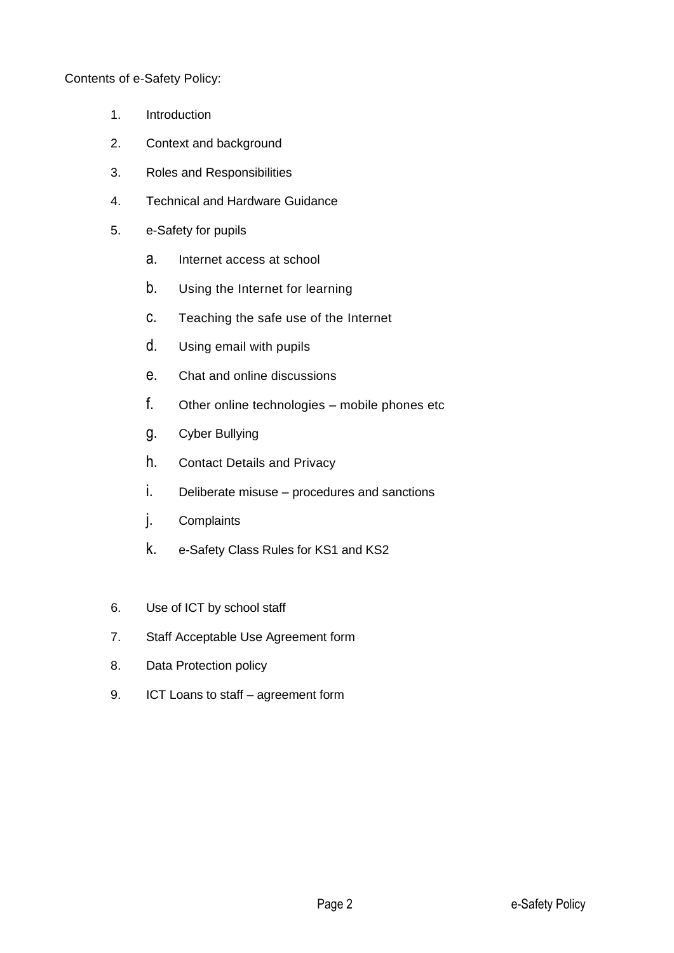Contents of e-Safety Policy:

- 1. Introduction
- 2. Context and background
- 3. Roles and Responsibilities
- 4. Technical and Hardware Guidance
- 5. e-Safety for pupils
	- a. Internet access at school
	- b. Using the Internet for learning
	- c. Teaching the safe use of the Internet
	- d. Using email with pupils
	- e. Chat and online discussions
	- f. Other online technologies mobile phones etc
	- g. Cyber Bullying
	- h. Contact Details and Privacy
	- i. Deliberate misuse procedures and sanctions
	- j. Complaints
	- k. e-Safety Class Rules for KS1 and KS2
- 6. Use of ICT by school staff
- 7. Staff Acceptable Use Agreement form
- 8. Data Protection policy
- 9. ICT Loans to staff agreement form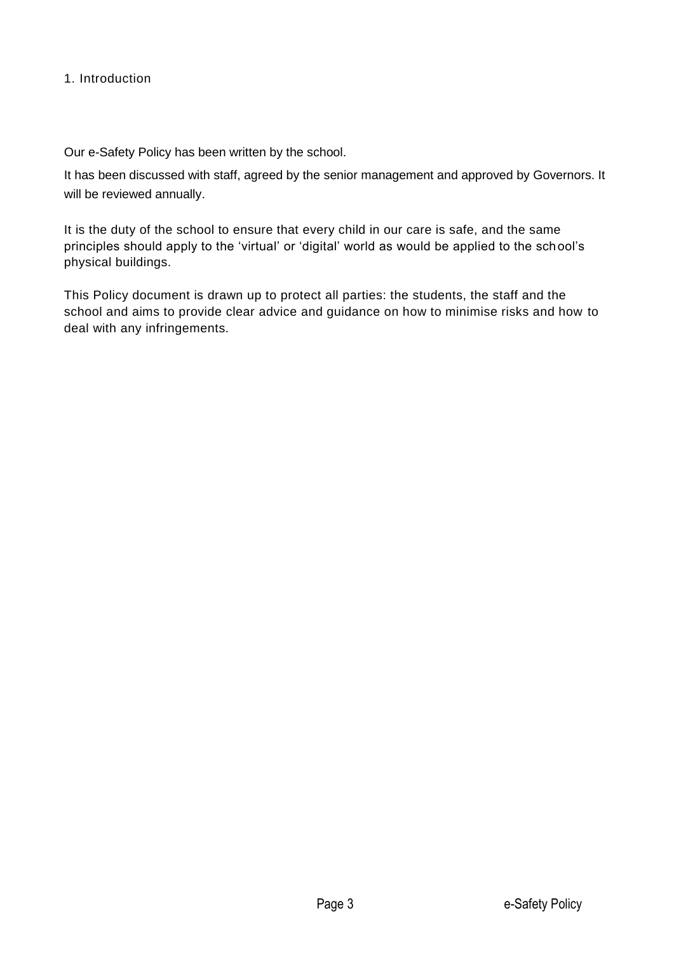#### 1. Introduction

Our e-Safety Policy has been written by the school.

It has been discussed with staff, agreed by the senior management and approved by Governors. It will be reviewed annually.

It is the duty of the school to ensure that every child in our care is safe, and the same principles should apply to the 'virtual' or 'digital' world as would be applied to the school's physical buildings.

This Policy document is drawn up to protect all parties: the students, the staff and the school and aims to provide clear advice and guidance on how to minimise risks and how to deal with any infringements.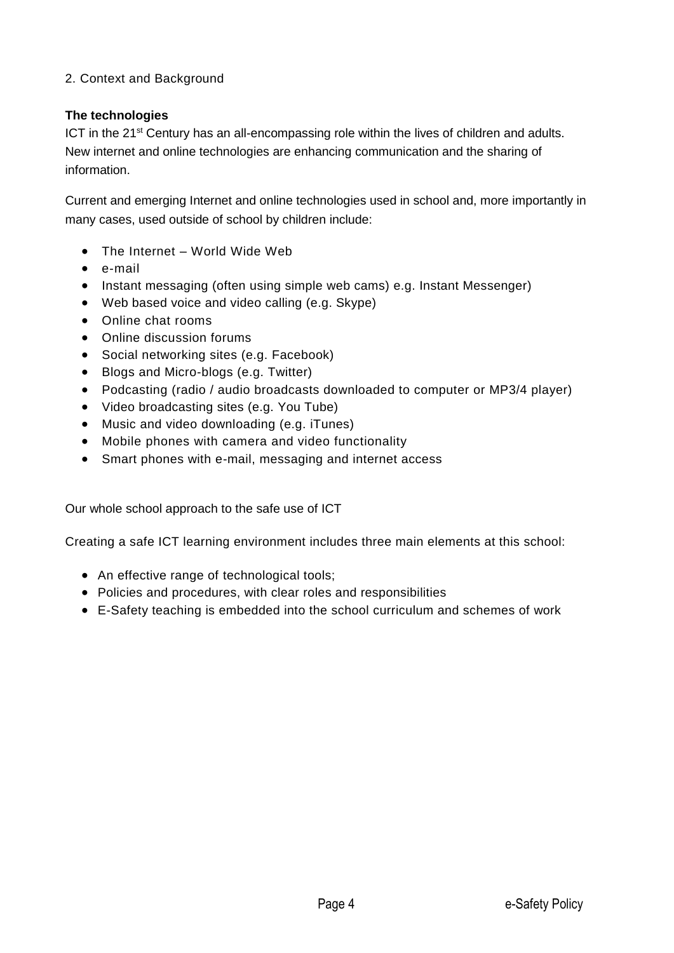# 2. Context and Background

# **The technologies**

ICT in the  $21<sup>st</sup>$  Century has an all-encompassing role within the lives of children and adults. New internet and online technologies are enhancing communication and the sharing of information.

Current and emerging Internet and online technologies used in school and, more importantly in many cases, used outside of school by children include:

- The Internet World Wide Web
- e-mail
- Instant messaging (often using simple web cams) e.g. Instant Messenger)
- Web based voice and video calling (e.g. Skype)
- Online chat rooms
- Online discussion forums
- Social networking sites (e.g. Facebook)
- Blogs and Micro-blogs (e.g. Twitter)
- Podcasting (radio / audio broadcasts downloaded to computer or MP3/4 player)
- Video broadcasting sites (e.g. You Tube)
- Music and video downloading (e.g. iTunes)
- Mobile phones with camera and video functionality
- Smart phones with e-mail, messaging and internet access

Our whole school approach to the safe use of ICT

Creating a safe ICT learning environment includes three main elements at this school:

- An effective range of technological tools;
- Policies and procedures, with clear roles and responsibilities
- E-Safety teaching is embedded into the school curriculum and schemes of work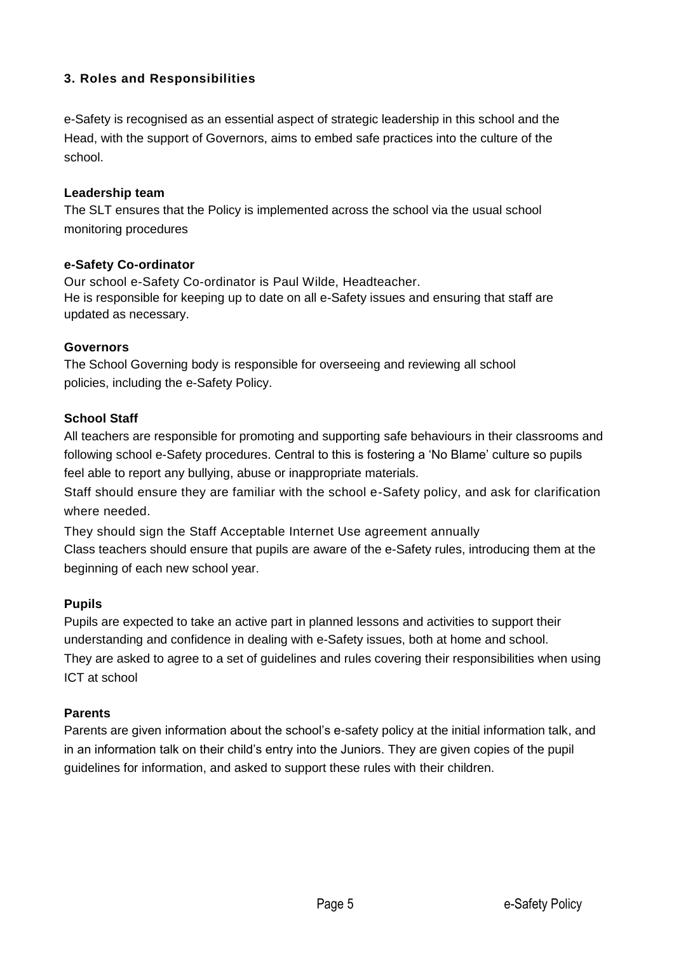# **3. Roles and Responsibilities**

e-Safety is recognised as an essential aspect of strategic leadership in this school and the Head, with the support of Governors, aims to embed safe practices into the culture of the school.

#### **Leadership team**

The SLT ensures that the Policy is implemented across the school via the usual school monitoring procedures

#### **e-Safety Co-ordinator**

Our school e-Safety Co-ordinator is Paul Wilde, Headteacher. He is responsible for keeping up to date on all e-Safety issues and ensuring that staff are updated as necessary.

#### **Governors**

The School Governing body is responsible for overseeing and reviewing all school policies, including the e-Safety Policy.

#### **School Staff**

All teachers are responsible for promoting and supporting safe behaviours in their classrooms and following school e-Safety procedures. Central to this is fostering a 'No Blame' culture so pupils feel able to report any bullying, abuse or inappropriate materials.

Staff should ensure they are familiar with the school e-Safety policy, and ask for clarification where needed.

They should sign the Staff Acceptable Internet Use agreement annually Class teachers should ensure that pupils are aware of the e-Safety rules, introducing them at the beginning of each new school year.

## **Pupils**

Pupils are expected to take an active part in planned lessons and activities to support their understanding and confidence in dealing with e-Safety issues, both at home and school. They are asked to agree to a set of guidelines and rules covering their responsibilities when using ICT at school

## **Parents**

Parents are given information about the school's e-safety policy at the initial information talk, and in an information talk on their child's entry into the Juniors. They are given copies of the pupil guidelines for information, and asked to support these rules with their children.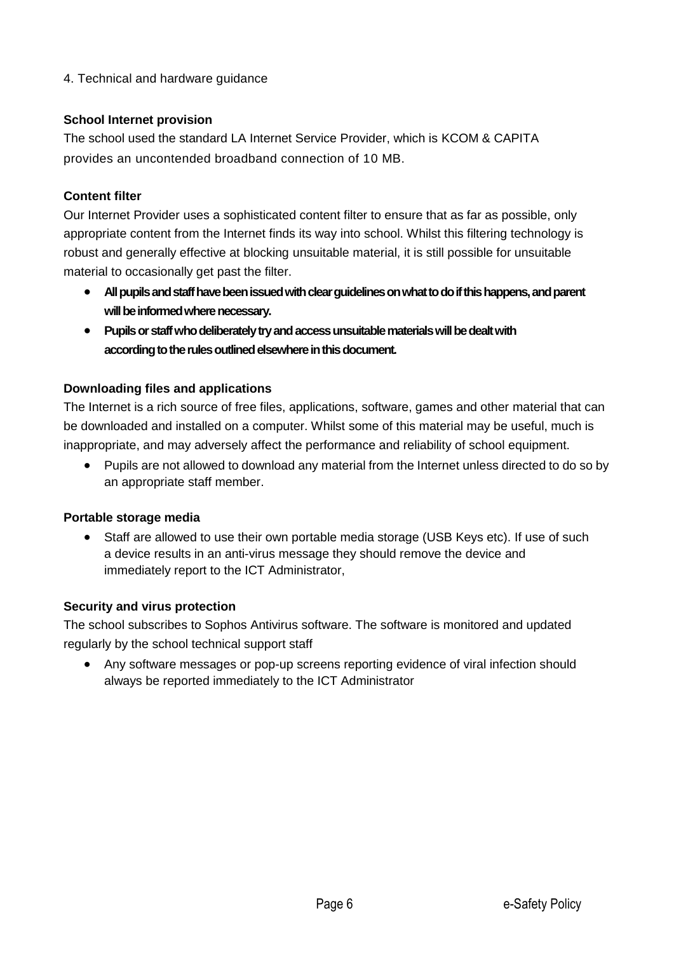# 4. Technical and hardware guidance

#### **School Internet provision**

The school used the standard LA Internet Service Provider, which is KCOM & CAPITA provides an uncontended broadband connection of 10 MB.

#### **Content filter**

Our Internet Provider uses a sophisticated content filter to ensure that as far as possible, only appropriate content from the Internet finds its way into school. Whilst this filtering technology is robust and generally effective at blocking unsuitable material, it is still possible for unsuitable material to occasionally get past the filter.

- **All pupils and staff have been issued with clear guidelines on what to do if this happens, and parent will be informed where necessary.**
- **Pupils or staff who deliberately try and access unsuitable materials will be dealt with according to the rules outlined elsewhere in this document.**

#### **Downloading files and applications**

The Internet is a rich source of free files, applications, software, games and other material that can be downloaded and installed on a computer. Whilst some of this material may be useful, much is inappropriate, and may adversely affect the performance and reliability of school equipment.

• Pupils are not allowed to download any material from the Internet unless directed to do so by an appropriate staff member.

#### **Portable storage media**

• Staff are allowed to use their own portable media storage (USB Keys etc). If use of such a device results in an anti-virus message they should remove the device and immediately report to the ICT Administrator,

#### **Security and virus protection**

The school subscribes to Sophos Antivirus software. The software is monitored and updated regularly by the school technical support staff

• Any software messages or pop-up screens reporting evidence of viral infection should always be reported immediately to the ICT Administrator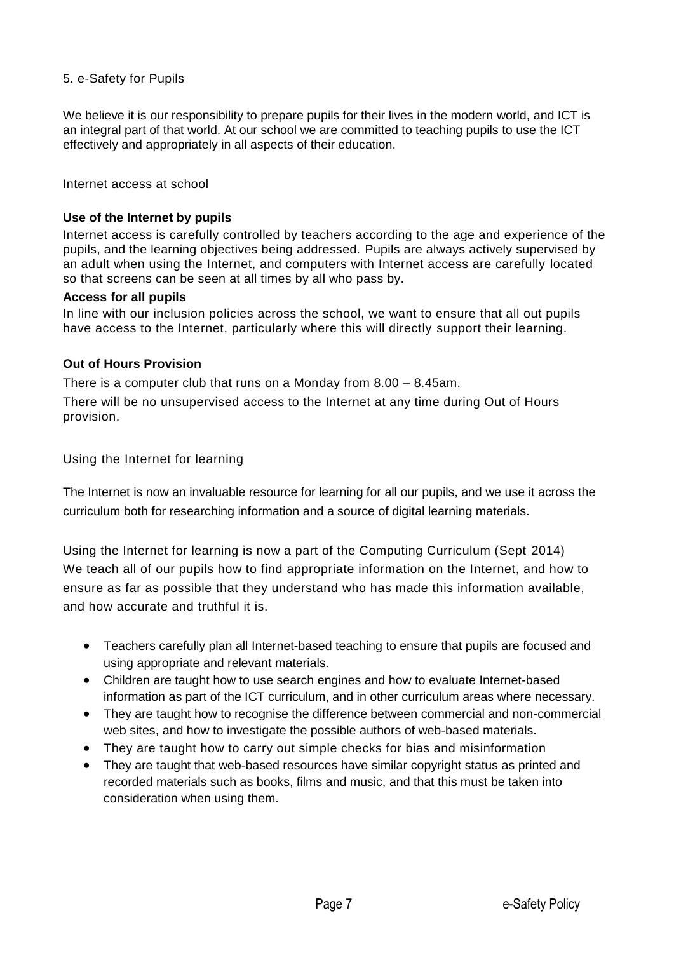#### 5. e-Safety for Pupils

We believe it is our responsibility to prepare pupils for their lives in the modern world, and ICT is an integral part of that world. At our school we are committed to teaching pupils to use the ICT effectively and appropriately in all aspects of their education.

Internet access at school

#### **Use of the Internet by pupils**

Internet access is carefully controlled by teachers according to the age and experience of the pupils, and the learning objectives being addressed. Pupils are always actively supervised by an adult when using the Internet, and computers with Internet access are carefully located so that screens can be seen at all times by all who pass by.

#### **Access for all pupils**

In line with our inclusion policies across the school, we want to ensure that all out pupils have access to the Internet, particularly where this will directly support their learning.

#### **Out of Hours Provision**

There is a computer club that runs on a Monday from 8.00 – 8.45am.

There will be no unsupervised access to the Internet at any time during Out of Hours provision.

Using the Internet for learning

The Internet is now an invaluable resource for learning for all our pupils, and we use it across the curriculum both for researching information and a source of digital learning materials.

Using the Internet for learning is now a part of the Computing Curriculum (Sept 2014) We teach all of our pupils how to find appropriate information on the Internet, and how to ensure as far as possible that they understand who has made this information available, and how accurate and truthful it is.

- Teachers carefully plan all Internet-based teaching to ensure that pupils are focused and using appropriate and relevant materials.
- Children are taught how to use search engines and how to evaluate Internet-based information as part of the ICT curriculum, and in other curriculum areas where necessary.
- They are taught how to recognise the difference between commercial and non-commercial web sites, and how to investigate the possible authors of web-based materials.
- They are taught how to carry out simple checks for bias and misinformation
- They are taught that web-based resources have similar copyright status as printed and recorded materials such as books, films and music, and that this must be taken into consideration when using them.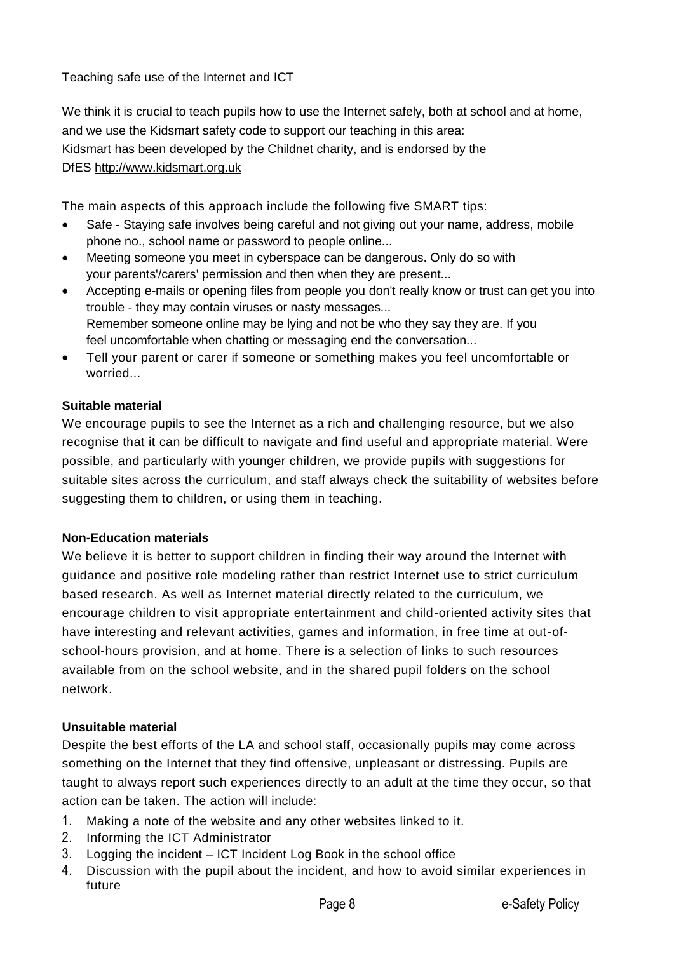Teaching safe use of the Internet and ICT

We think it is crucial to teach pupils how to use the Internet safely, both at school and at home, and we use the Kidsmart safety code to support our teaching in this area: Kidsmart has been developed by the Childnet charity, and is endorsed by the DfES [http://www.kidsmart.org.uk](http://www.kidsmart.org.uk/)

The main aspects of this approach include the following five SMART tips:

- Safe Staying safe involves being careful and not giving out your name, address, mobile phone no., school name or password to people online...
- Meeting someone you meet in cyberspace can be dangerous. Only do so with your parents'/carers' permission and then when they are present...
- Accepting e-mails or opening files from people you don't really know or trust can get you into trouble - they may contain viruses or nasty messages... Remember someone online may be lying and not be who they say they are. If you feel uncomfortable when chatting or messaging end the conversation...
- Tell your parent or carer if someone or something makes you feel uncomfortable or worried...

# **Suitable material**

We encourage pupils to see the Internet as a rich and challenging resource, but we also recognise that it can be difficult to navigate and find useful and appropriate material. Were possible, and particularly with younger children, we provide pupils with suggestions for suitable sites across the curriculum, and staff always check the suitability of websites before suggesting them to children, or using them in teaching.

## **Non-Education materials**

We believe it is better to support children in finding their way around the Internet with guidance and positive role modeling rather than restrict Internet use to strict curriculum based research. As well as Internet material directly related to the curriculum, we encourage children to visit appropriate entertainment and child-oriented activity sites that have interesting and relevant activities, games and information, in free time at out-ofschool-hours provision, and at home. There is a selection of links to such resources available from on the school website, and in the shared pupil folders on the school network.

## **Unsuitable material**

Despite the best efforts of the LA and school staff, occasionally pupils may come across something on the Internet that they find offensive, unpleasant or distressing. Pupils are taught to always report such experiences directly to an adult at the time they occur, so that action can be taken. The action will include:

- 1. Making a note of the website and any other websites linked to it.
- 2. Informing the ICT Administrator
- 3. Logging the incident ICT Incident Log Book in the school office
- 4. Discussion with the pupil about the incident, and how to avoid similar experiences in future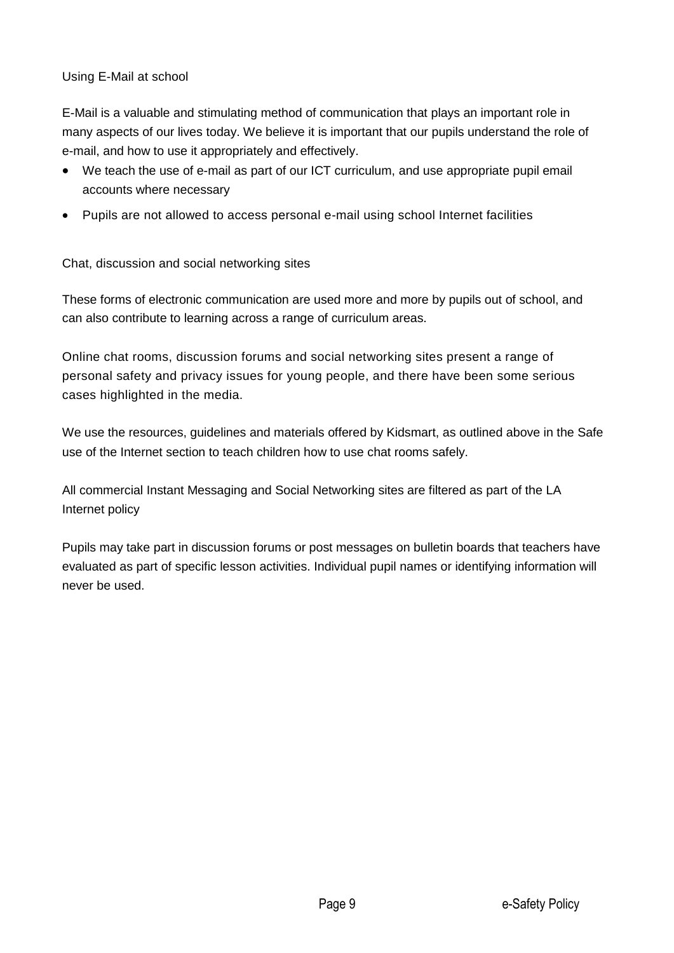# Using E-Mail at school

E-Mail is a valuable and stimulating method of communication that plays an important role in many aspects of our lives today. We believe it is important that our pupils understand the role of e-mail, and how to use it appropriately and effectively.

- We teach the use of e-mail as part of our ICT curriculum, and use appropriate pupil email accounts where necessary
- Pupils are not allowed to access personal e-mail using school Internet facilities

Chat, discussion and social networking sites

These forms of electronic communication are used more and more by pupils out of school, and can also contribute to learning across a range of curriculum areas.

Online chat rooms, discussion forums and social networking sites present a range of personal safety and privacy issues for young people, and there have been some serious cases highlighted in the media.

We use the resources, guidelines and materials offered by Kidsmart, as outlined above in the Safe use of the Internet section to teach children how to use chat rooms safely.

All commercial Instant Messaging and Social Networking sites are filtered as part of the LA Internet policy

Pupils may take part in discussion forums or post messages on bulletin boards that teachers have evaluated as part of specific lesson activities. Individual pupil names or identifying information will never be used.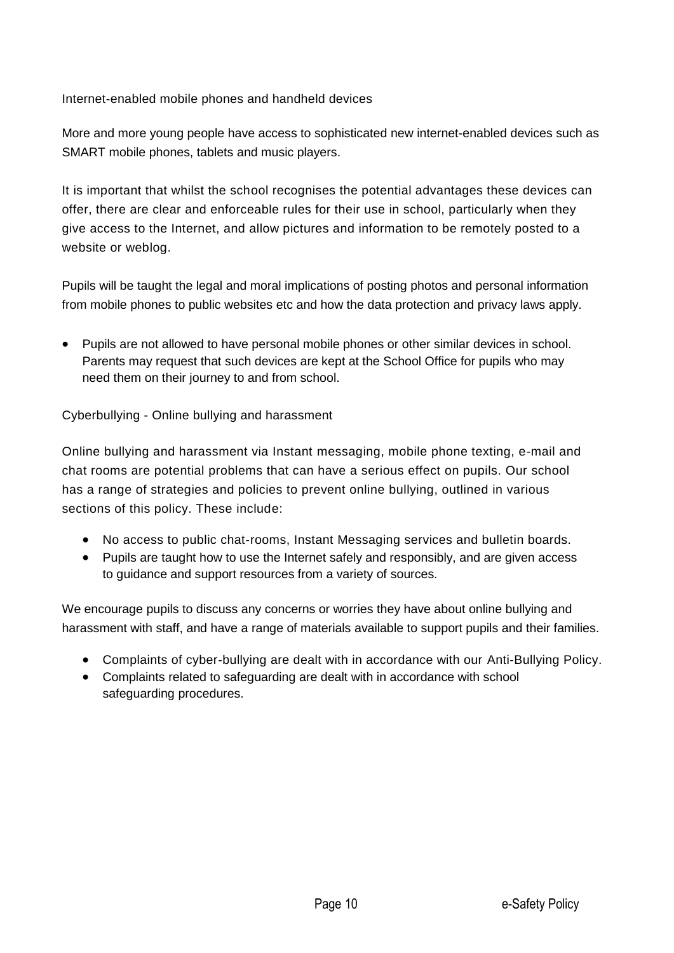Internet-enabled mobile phones and handheld devices

More and more young people have access to sophisticated new internet-enabled devices such as SMART mobile phones, tablets and music players.

It is important that whilst the school recognises the potential advantages these devices can offer, there are clear and enforceable rules for their use in school, particularly when they give access to the Internet, and allow pictures and information to be remotely posted to a website or weblog.

Pupils will be taught the legal and moral implications of posting photos and personal information from mobile phones to public websites etc and how the data protection and privacy laws apply.

• Pupils are not allowed to have personal mobile phones or other similar devices in school. Parents may request that such devices are kept at the School Office for pupils who may need them on their journey to and from school.

Cyberbullying - Online bullying and harassment

Online bullying and harassment via Instant messaging, mobile phone texting, e-mail and chat rooms are potential problems that can have a serious effect on pupils. Our school has a range of strategies and policies to prevent online bullying, outlined in various sections of this policy. These include:

- No access to public chat-rooms, Instant Messaging services and bulletin boards.
- Pupils are taught how to use the Internet safely and responsibly, and are given access to guidance and support resources from a variety of sources.

We encourage pupils to discuss any concerns or worries they have about online bullying and harassment with staff, and have a range of materials available to support pupils and their families.

- Complaints of cyber-bullying are dealt with in accordance with our Anti-Bullying Policy.
- Complaints related to safeguarding are dealt with in accordance with school safeguarding procedures.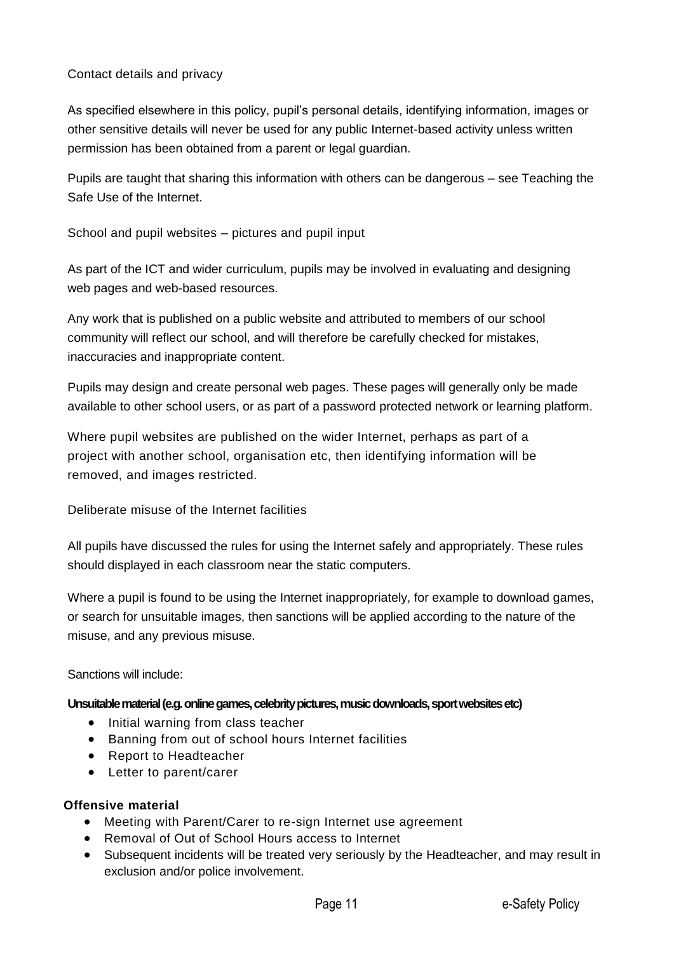# Contact details and privacy

As specified elsewhere in this policy, pupil's personal details, identifying information, images or other sensitive details will never be used for any public Internet-based activity unless written permission has been obtained from a parent or legal guardian.

Pupils are taught that sharing this information with others can be dangerous – see Teaching the Safe Use of the Internet.

School and pupil websites – pictures and pupil input

As part of the ICT and wider curriculum, pupils may be involved in evaluating and designing web pages and web-based resources.

Any work that is published on a public website and attributed to members of our school community will reflect our school, and will therefore be carefully checked for mistakes, inaccuracies and inappropriate content.

Pupils may design and create personal web pages. These pages will generally only be made available to other school users, or as part of a password protected network or learning platform.

Where pupil websites are published on the wider Internet, perhaps as part of a project with another school, organisation etc, then identifying information will be removed, and images restricted.

Deliberate misuse of the Internet facilities

All pupils have discussed the rules for using the Internet safely and appropriately. These rules should displayed in each classroom near the static computers.

Where a pupil is found to be using the Internet inappropriately, for example to download games, or search for unsuitable images, then sanctions will be applied according to the nature of the misuse, and any previous misuse.

Sanctions will include:

**Unsuitable material (e.g. online games, celebrity pictures, music downloads, sport websites etc)**

- Initial warning from class teacher
- Banning from out of school hours Internet facilities
- Report to Headteacher
- Letter to parent/carer

## **Offensive material**

- Meeting with Parent/Carer to re-sign Internet use agreement
- Removal of Out of School Hours access to Internet
- Subsequent incidents will be treated very seriously by the Headteacher, and may result in exclusion and/or police involvement.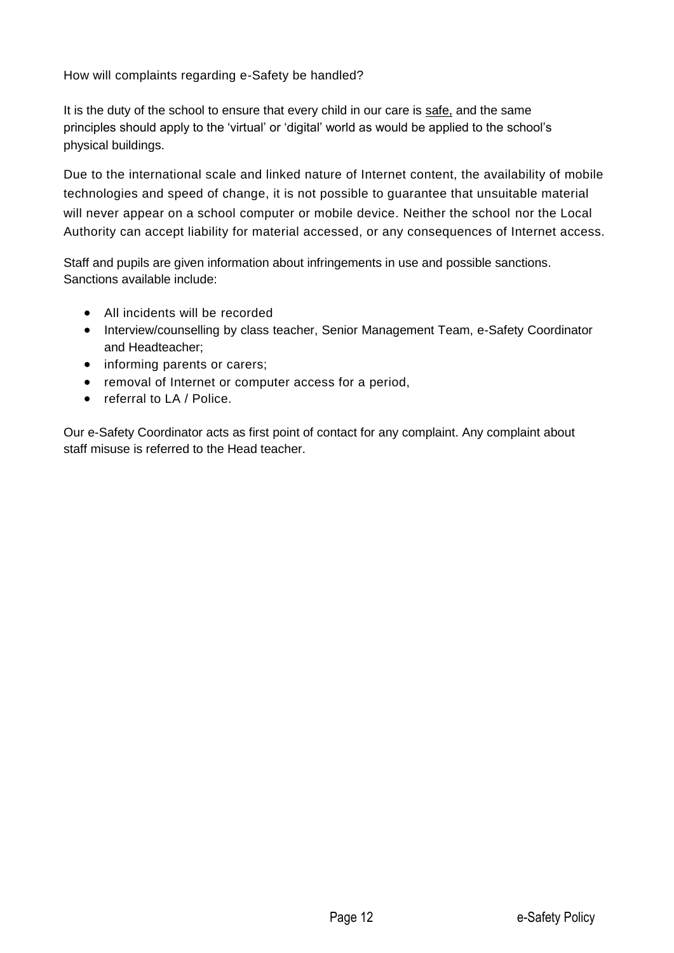How will complaints regarding e-Safety be handled?

It is the duty of the school to ensure that every child in our care is safe, and the same principles should apply to the 'virtual' or 'digital' world as would be applied to the school's physical buildings.

Due to the international scale and linked nature of Internet content, the availability of mobile technologies and speed of change, it is not possible to guarantee that unsuitable material will never appear on a school computer or mobile device. Neither the school nor the Local Authority can accept liability for material accessed, or any consequences of Internet access.

Staff and pupils are given information about infringements in use and possible sanctions. Sanctions available include:

- All incidents will be recorded
- Interview/counselling by class teacher, Senior Management Team, e-Safety Coordinator and Headteacher;
- informing parents or carers;
- removal of Internet or computer access for a period,
- referral to LA / Police.

Our e-Safety Coordinator acts as first point of contact for any complaint. Any complaint about staff misuse is referred to the Head teacher.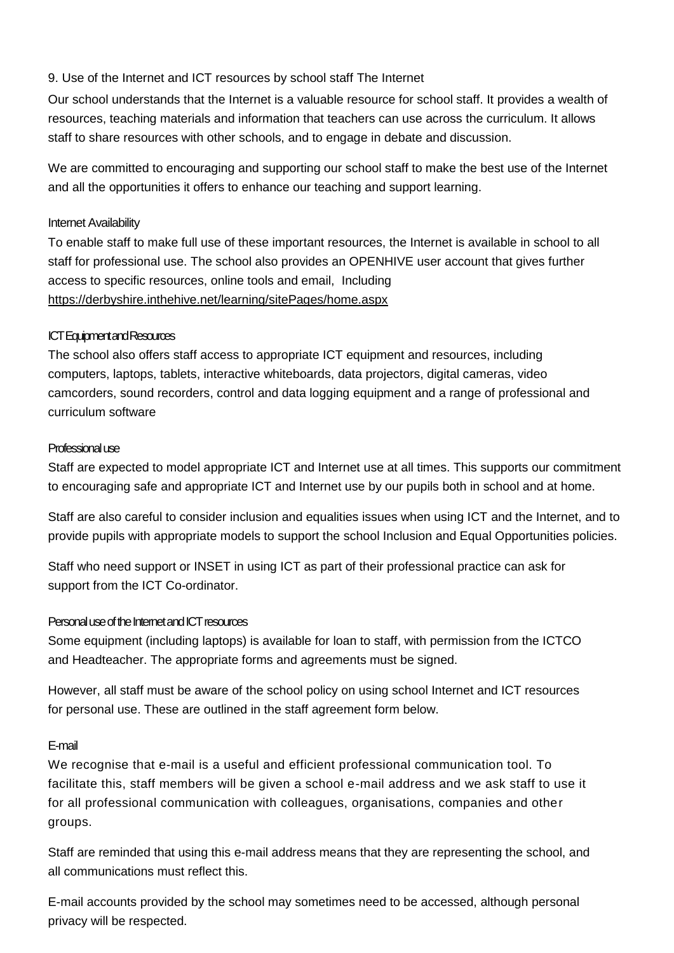#### 9. Use of the Internet and ICT resources by school staff The Internet

Our school understands that the Internet is a valuable resource for school staff. It provides a wealth of resources, teaching materials and information that teachers can use across the curriculum. It allows staff to share resources with other schools, and to engage in debate and discussion.

We are committed to encouraging and supporting our school staff to make the best use of the Internet and all the opportunities it offers to enhance our teaching and support learning.

#### Internet Availability

To enable staff to make full use of these important resources, the Internet is available in school to all staff for professional use. The school also provides an OPENHIVE user account that gives further access to specific resources, online tools and email, Including <https://derbyshire.inthehive.net/learning/sitePages/home.aspx>

#### ICT Equipment and Resources

The school also offers staff access to appropriate ICT equipment and resources, including computers, laptops, tablets, interactive whiteboards, data projectors, digital cameras, video camcorders, sound recorders, control and data logging equipment and a range of professional and curriculum software

#### Professional use

Staff are expected to model appropriate ICT and Internet use at all times. This supports our commitment to encouraging safe and appropriate ICT and Internet use by our pupils both in school and at home.

Staff are also careful to consider inclusion and equalities issues when using ICT and the Internet, and to provide pupils with appropriate models to support the school Inclusion and Equal Opportunities policies.

Staff who need support or INSET in using ICT as part of their professional practice can ask for support from the ICT Co-ordinator.

#### Personal use of the Internet and ICT resources

Some equipment (including laptops) is available for loan to staff, with permission from the ICTCO and Headteacher. The appropriate forms and agreements must be signed.

However, all staff must be aware of the school policy on using school Internet and ICT resources for personal use. These are outlined in the staff agreement form below.

#### E-mail

We recognise that e-mail is a useful and efficient professional communication tool. To facilitate this, staff members will be given a school e-mail address and we ask staff to use it for all professional communication with colleagues, organisations, companies and other groups.

Staff are reminded that using this e-mail address means that they are representing the school, and all communications must reflect this.

E-mail accounts provided by the school may sometimes need to be accessed, although personal privacy will be respected.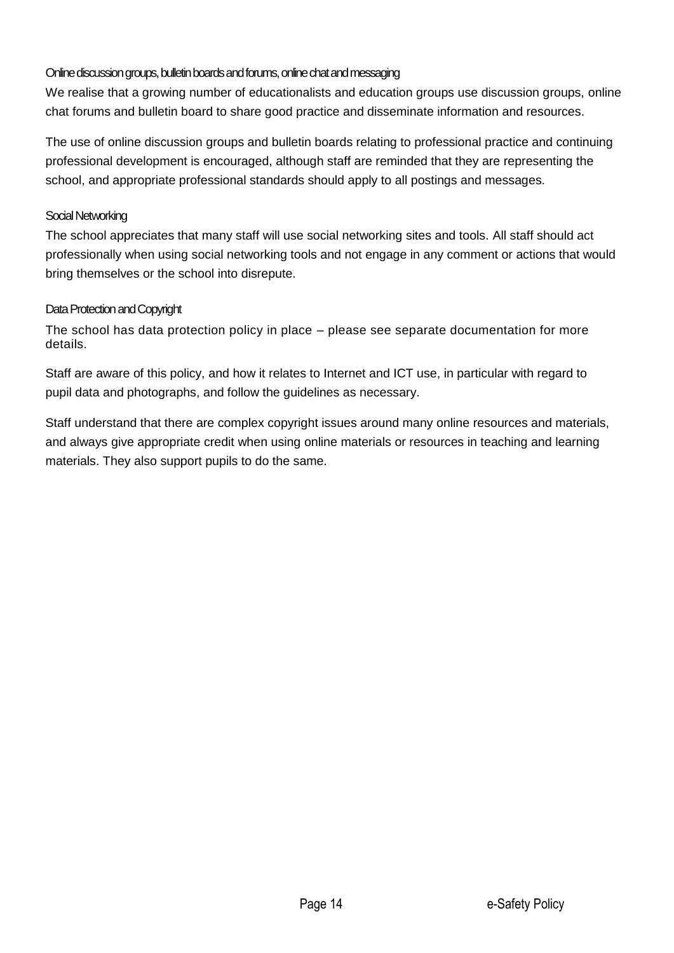# Online discussion groups, bulletin boards and forums, online chat and messaging

We realise that a growing number of educationalists and education groups use discussion groups, online chat forums and bulletin board to share good practice and disseminate information and resources.

The use of online discussion groups and bulletin boards relating to professional practice and continuing professional development is encouraged, although staff are reminded that they are representing the school, and appropriate professional standards should apply to all postings and messages.

# Social Networking

The school appreciates that many staff will use social networking sites and tools. All staff should act professionally when using social networking tools and not engage in any comment or actions that would bring themselves or the school into disrepute.

## Data Protection and Copyright

The school has data protection policy in place – please see separate documentation for more details.

Staff are aware of this policy, and how it relates to Internet and ICT use, in particular with regard to pupil data and photographs, and follow the guidelines as necessary.

Staff understand that there are complex copyright issues around many online resources and materials, and always give appropriate credit when using online materials or resources in teaching and learning materials. They also support pupils to do the same.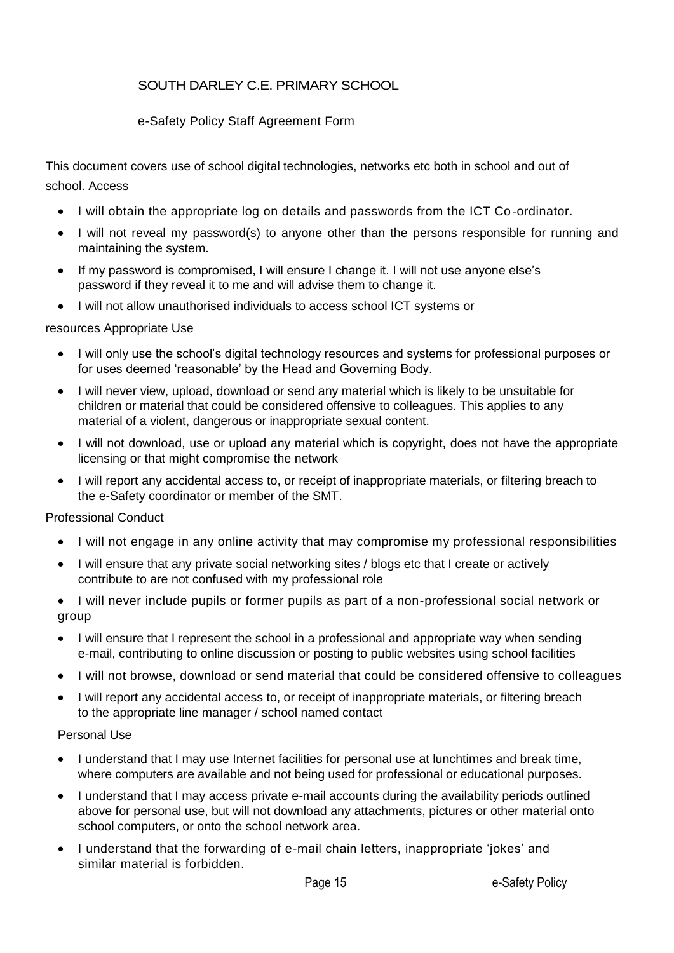# SOUTH DARLEY C.E. PRIMARY SCHOOL

# e-Safety Policy Staff Agreement Form

This document covers use of school digital technologies, networks etc both in school and out of school. Access

- I will obtain the appropriate log on details and passwords from the ICT Co-ordinator.
- I will not reveal my password(s) to anyone other than the persons responsible for running and maintaining the system.
- If my password is compromised, I will ensure I change it. I will not use anyone else's password if they reveal it to me and will advise them to change it.
- I will not allow unauthorised individuals to access school ICT systems or

## resources Appropriate Use

- I will only use the school's digital technology resources and systems for professional purposes or for uses deemed 'reasonable' by the Head and Governing Body.
- I will never view, upload, download or send any material which is likely to be unsuitable for children or material that could be considered offensive to colleagues. This applies to any material of a violent, dangerous or inappropriate sexual content.
- I will not download, use or upload any material which is copyright, does not have the appropriate licensing or that might compromise the network
- I will report any accidental access to, or receipt of inappropriate materials, or filtering breach to the e-Safety coordinator or member of the SMT.

## Professional Conduct

- I will not engage in any online activity that may compromise my professional responsibilities
- I will ensure that any private social networking sites / blogs etc that I create or actively contribute to are not confused with my professional role
- I will never include pupils or former pupils as part of a non-professional social network or group
- I will ensure that I represent the school in a professional and appropriate way when sending e-mail, contributing to online discussion or posting to public websites using school facilities
- I will not browse, download or send material that could be considered offensive to colleagues
- I will report any accidental access to, or receipt of inappropriate materials, or filtering breach to the appropriate line manager / school named contact

## Personal Use

- I understand that I may use Internet facilities for personal use at lunchtimes and break time, where computers are available and not being used for professional or educational purposes.
- I understand that I may access private e-mail accounts during the availability periods outlined above for personal use, but will not download any attachments, pictures or other material onto school computers, or onto the school network area.
- I understand that the forwarding of e-mail chain letters, inappropriate 'jokes' and similar material is forbidden.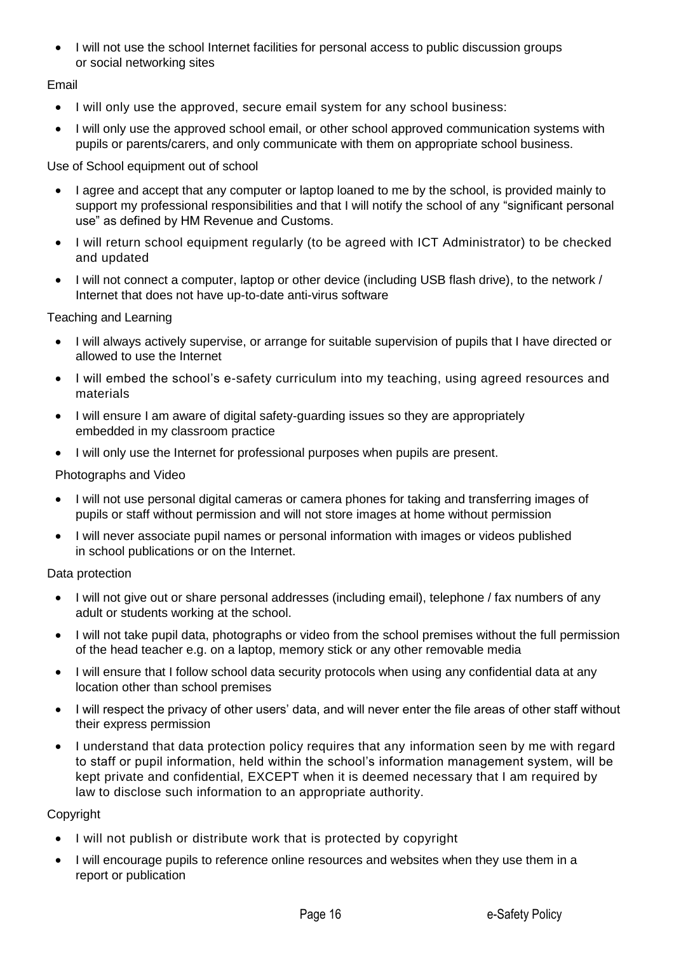• I will not use the school Internet facilities for personal access to public discussion groups or social networking sites

Email

- I will only use the approved, secure email system for any school business:
- I will only use the approved school email, or other school approved communication systems with pupils or parents/carers, and only communicate with them on appropriate school business.

Use of School equipment out of school

- I agree and accept that any computer or laptop loaned to me by the school, is provided mainly to support my professional responsibilities and that I will notify the school of any "significant personal use" as defined by HM Revenue and Customs.
- I will return school equipment regularly (to be agreed with ICT Administrator) to be checked and updated
- I will not connect a computer, laptop or other device (including USB flash drive), to the network / Internet that does not have up-to-date anti-virus software

Teaching and Learning

- I will always actively supervise, or arrange for suitable supervision of pupils that I have directed or allowed to use the Internet
- I will embed the school's e-safety curriculum into my teaching, using agreed resources and materials
- I will ensure I am aware of digital safety-guarding issues so they are appropriately embedded in my classroom practice
- I will only use the Internet for professional purposes when pupils are present.

Photographs and Video

- I will not use personal digital cameras or camera phones for taking and transferring images of pupils or staff without permission and will not store images at home without permission
- I will never associate pupil names or personal information with images or videos published in school publications or on the Internet.

Data protection

- I will not give out or share personal addresses (including email), telephone / fax numbers of any adult or students working at the school.
- I will not take pupil data, photographs or video from the school premises without the full permission of the head teacher e.g. on a laptop, memory stick or any other removable media
- I will ensure that I follow school data security protocols when using any confidential data at any location other than school premises
- I will respect the privacy of other users' data, and will never enter the file areas of other staff without their express permission
- I understand that data protection policy requires that any information seen by me with regard to staff or pupil information, held within the school's information management system, will be kept private and confidential, EXCEPT when it is deemed necessary that I am required by law to disclose such information to an appropriate authority.

Copyright

- I will not publish or distribute work that is protected by copyright
- I will encourage pupils to reference online resources and websites when they use them in a report or publication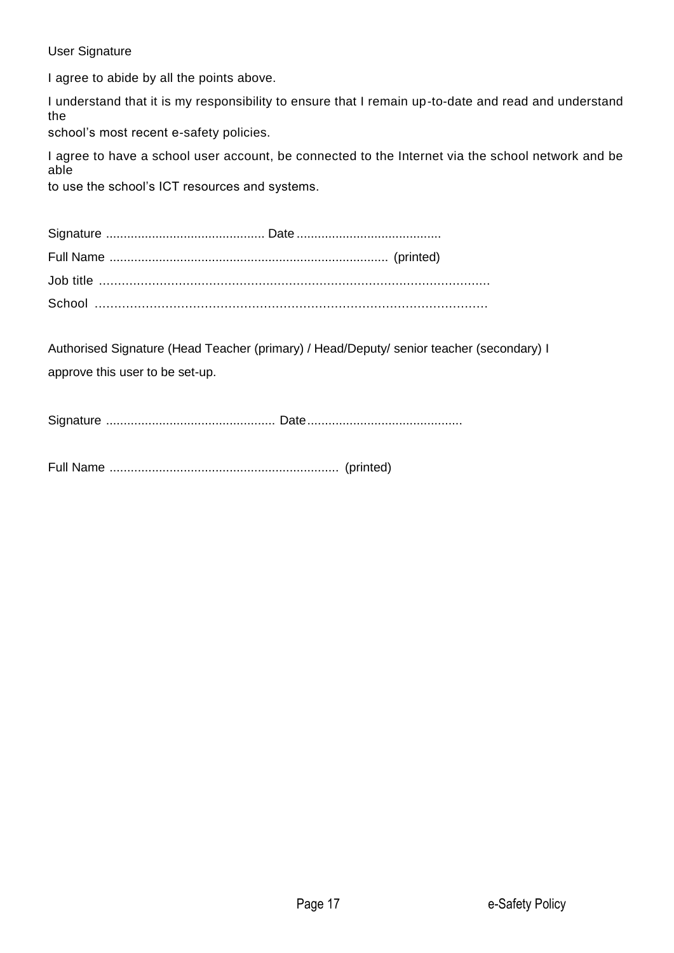# User Signature

I agree to abide by all the points above.

I understand that it is my responsibility to ensure that I remain up-to-date and read and understand the

school's most recent e-safety policies.

I agree to have a school user account, be connected to the Internet via the school network and be able

to use the school's ICT resources and systems.

Authorised Signature (Head Teacher (primary) / Head/Deputy/ senior teacher (secondary) I approve this user to be set-up.

Signature ................................................ Date............................................

Full Name ................................................................. (printed)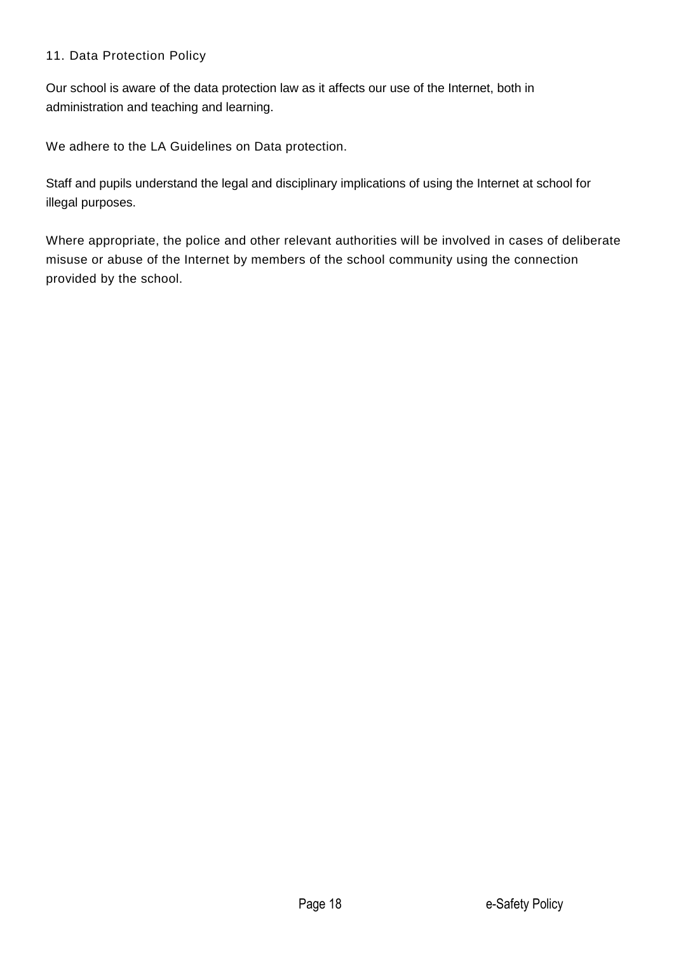# 11. Data Protection Policy

Our school is aware of the data protection law as it affects our use of the Internet, both in administration and teaching and learning.

We adhere to the LA Guidelines on Data protection.

Staff and pupils understand the legal and disciplinary implications of using the Internet at school for illegal purposes.

Where appropriate, the police and other relevant authorities will be involved in cases of deliberate misuse or abuse of the Internet by members of the school community using the connection provided by the school.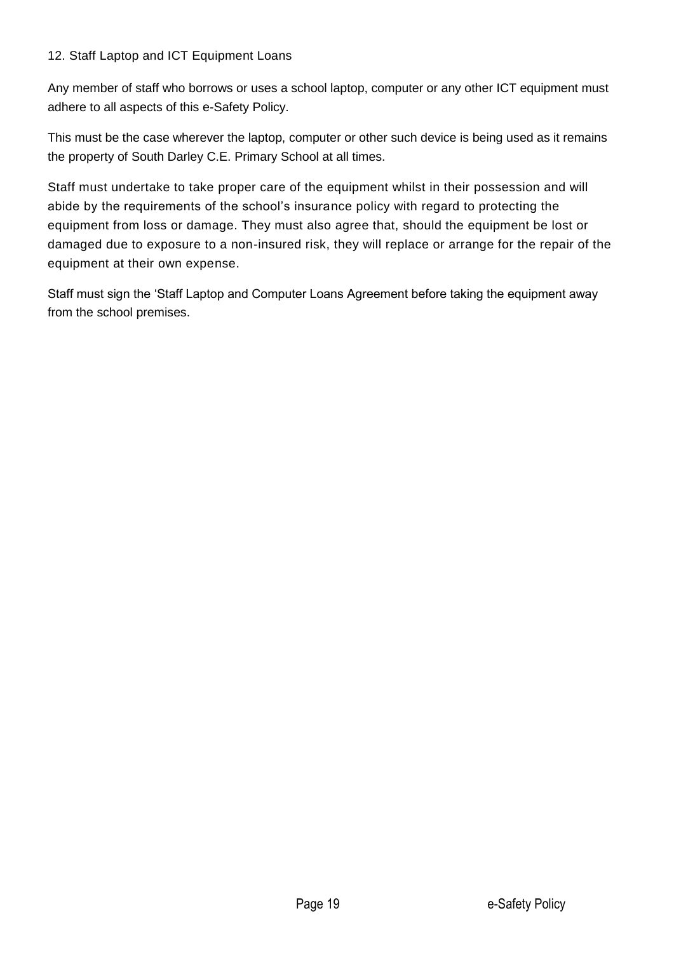## 12. Staff Laptop and ICT Equipment Loans

Any member of staff who borrows or uses a school laptop, computer or any other ICT equipment must adhere to all aspects of this e-Safety Policy.

This must be the case wherever the laptop, computer or other such device is being used as it remains the property of South Darley C.E. Primary School at all times.

Staff must undertake to take proper care of the equipment whilst in their possession and will abide by the requirements of the school's insurance policy with regard to protecting the equipment from loss or damage. They must also agree that, should the equipment be lost or damaged due to exposure to a non-insured risk, they will replace or arrange for the repair of the equipment at their own expense.

Staff must sign the 'Staff Laptop and Computer Loans Agreement before taking the equipment away from the school premises.